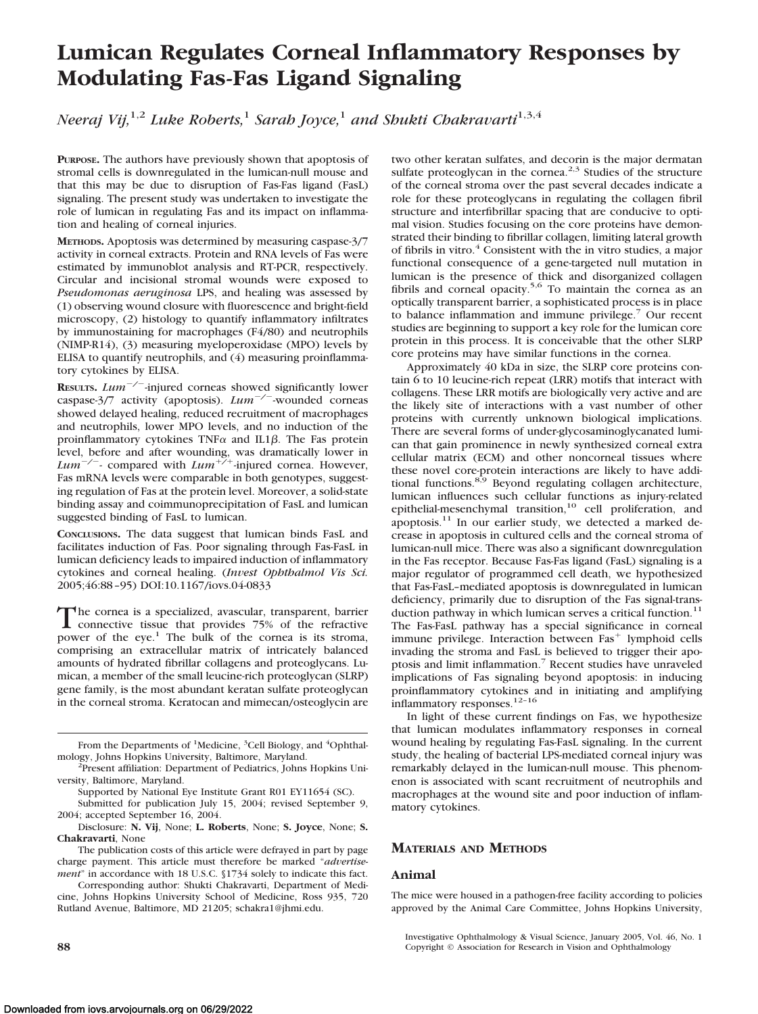# **Lumican Regulates Corneal Inflammatory Responses by Modulating Fas-Fas Ligand Signaling**

*Neeraj Vij,*1,2 *Luke Roberts,*<sup>1</sup> *Sarah Joyce,*<sup>1</sup> *and Shukti Chakravarti*1,3,4

**PURPOSE.** The authors have previously shown that apoptosis of stromal cells is downregulated in the lumican-null mouse and that this may be due to disruption of Fas-Fas ligand (FasL) signaling. The present study was undertaken to investigate the role of lumican in regulating Fas and its impact on inflammation and healing of corneal injuries.

**METHODS.** Apoptosis was determined by measuring caspase-3/7 activity in corneal extracts. Protein and RNA levels of Fas were estimated by immunoblot analysis and RT-PCR, respectively. Circular and incisional stromal wounds were exposed to *Pseudomonas aeruginosa* LPS, and healing was assessed by (1) observing wound closure with fluorescence and bright-field microscopy, (2) histology to quantify inflammatory infiltrates by immunostaining for macrophages (F4/80) and neutrophils (NIMP-R14), (3) measuring myeloperoxidase (MPO) levels by ELISA to quantify neutrophils, and (4) measuring proinflammatory cytokines by ELISA.

**RESULTS.** *Lum<sup>-/-</sup>*-injured corneas showed significantly lower caspase-3/7 activity (apoptosis).  $Lum^{-/-}$  wounded corneas showed delayed healing, reduced recruitment of macrophages and neutrophils, lower MPO levels, and no induction of the proinflammatory cytokines TNF $\alpha$  and IL1 $\beta$ . The Fas protein level, before and after wounding, was dramatically lower in  $Lum^{-/-}$  compared with  $Lum^{+/-}$ -injured cornea. However, Fas mRNA levels were comparable in both genotypes, suggesting regulation of Fas at the protein level. Moreover, a solid-state binding assay and coimmunoprecipitation of FasL and lumican suggested binding of FasL to lumican.

**CONCLUSIONS.** The data suggest that lumican binds FasL and facilitates induction of Fas. Poor signaling through Fas-FasL in lumican deficiency leads to impaired induction of inflammatory cytokines and corneal healing. (*Invest Ophthalmol Vis Sci.* 2005;46:88 –95) DOI:10.1167/iovs.04-0833

The cornea is a specialized, avascular, transparent, barrier<br>connective tissue that provides 75% of the refractive<br>connection of the results of the results in the results power of the eye.<sup>1</sup> The bulk of the cornea is its stroma, comprising an extracellular matrix of intricately balanced amounts of hydrated fibrillar collagens and proteoglycans. Lumican, a member of the small leucine-rich proteoglycan (SLRP) gene family, is the most abundant keratan sulfate proteoglycan in the corneal stroma. Keratocan and mimecan/osteoglycin are

From the Departments of <sup>1</sup>Medicine, <sup>3</sup>Cell Biology, and <sup>4</sup>Ophthalmology, Johns Hopkins University, Baltimore, Maryland. <sup>2</sup>

Submitted for publication July 15, 2004; revised September 9, 2004; accepted September 16, 2004.

two other keratan sulfates, and decorin is the major dermatan sulfate proteoglycan in the cornea.<sup>2,3</sup> Studies of the structure of the corneal stroma over the past several decades indicate a role for these proteoglycans in regulating the collagen fibril structure and interfibrillar spacing that are conducive to optimal vision. Studies focusing on the core proteins have demonstrated their binding to fibrillar collagen, limiting lateral growth of fibrils in vitro. $4\degree$  Consistent with the in vitro studies, a major functional consequence of a gene-targeted null mutation in lumican is the presence of thick and disorganized collagen fibrils and corneal opacity.<sup>5,6</sup> To maintain the cornea as an optically transparent barrier, a sophisticated process is in place to balance inflammation and immune privilege.<sup>7</sup> Our recent studies are beginning to support a key role for the lumican core protein in this process. It is conceivable that the other SLRP core proteins may have similar functions in the cornea.

Approximately 40 kDa in size, the SLRP core proteins contain 6 to 10 leucine-rich repeat (LRR) motifs that interact with collagens. These LRR motifs are biologically very active and are the likely site of interactions with a vast number of other proteins with currently unknown biological implications. There are several forms of under-glycosaminoglycanated lumican that gain prominence in newly synthesized corneal extra cellular matrix (ECM) and other noncorneal tissues where these novel core-protein interactions are likely to have additional functions. $8,9$  Beyond regulating collagen architecture, lumican influences such cellular functions as injury-related epithelial-mesenchymal transition,<sup>10</sup> cell proliferation, and apoptosis.<sup>11</sup> In our earlier study, we detected a marked decrease in apoptosis in cultured cells and the corneal stroma of lumican-null mice. There was also a significant downregulation in the Fas receptor. Because Fas-Fas ligand (FasL) signaling is a major regulator of programmed cell death, we hypothesized that Fas-FasL–mediated apoptosis is downregulated in lumican deficiency, primarily due to disruption of the Fas signal-transduction pathway in which lumican serves a critical function.<sup>11</sup> The Fas-FasL pathway has a special significance in corneal immune privilege. Interaction between Fas<sup>+</sup> lymphoid cells invading the stroma and FasL is believed to trigger their apoptosis and limit inflammation.<sup>7</sup> Recent studies have unraveled implications of Fas signaling beyond apoptosis: in inducing proinflammatory cytokines and in initiating and amplifying inflammatory responses.<sup>12-16</sup>

In light of these current findings on Fas, we hypothesize that lumican modulates inflammatory responses in corneal wound healing by regulating Fas-FasL signaling. In the current study, the healing of bacterial LPS-mediated corneal injury was remarkably delayed in the lumican-null mouse. This phenomenon is associated with scant recruitment of neutrophils and macrophages at the wound site and poor induction of inflammatory cytokines.

# **MATERIALS AND METHODS**

# **Animal**

The mice were housed in a pathogen-free facility according to policies approved by the Animal Care Committee, Johns Hopkins University,

Present affiliation: Department of Pediatrics, Johns Hopkins University, Baltimore, Maryland.

Supported by National Eye Institute Grant R01 EY11654 (SC).

Disclosure: **N. Vij**, None; **L. Roberts**, None; **S. Joyce**, None; **S. Chakravarti**, None

The publication costs of this article were defrayed in part by page charge payment. This article must therefore be marked "*advertisement*" in accordance with 18 U.S.C. §1734 solely to indicate this fact.

Corresponding author: Shukti Chakravarti, Department of Medicine, Johns Hopkins University School of Medicine, Ross 935, 720 Rutland Avenue, Baltimore, MD 21205; schakra1@jhmi.edu.

Investigative Ophthalmology & Visual Science, January 2005, Vol. 46, No. 1 **88** Copyright © Association for Research in Vision and Ophthalmology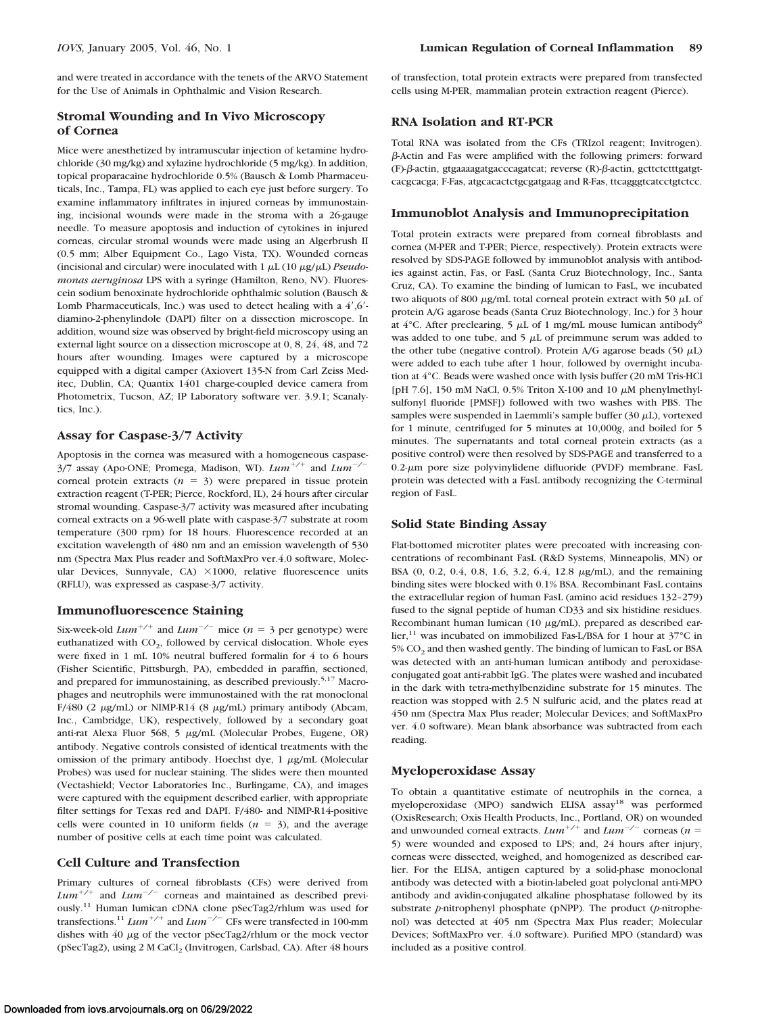and were treated in accordance with the tenets of the ARVO Statement for the Use of Animals in Ophthalmic and Vision Research.

# **Stromal Wounding and In Vivo Microscopy of Cornea**

Mice were anesthetized by intramuscular injection of ketamine hydrochloride (30 mg/kg) and xylazine hydrochloride (5 mg/kg). In addition, topical proparacaine hydrochloride 0.5% (Bausch & Lomb Pharmaceuticals, Inc., Tampa, FL) was applied to each eye just before surgery. To examine inflammatory infiltrates in injured corneas by immunostaining, incisional wounds were made in the stroma with a 26-gauge needle. To measure apoptosis and induction of cytokines in injured corneas, circular stromal wounds were made using an Algerbrush II (0.5 mm; Alber Equipment Co., Lago Vista, TX). Wounded corneas (incisional and circular) were inoculated with  $1 \mu L (10 \mu g/\mu L)$  *Pseudomonas aeruginosa* LPS with a syringe (Hamilton, Reno, NV). Fluorescein sodium benoxinate hydrochloride ophthalmic solution (Bausch & Lomb Pharmaceuticals, Inc.) was used to detect healing with a  $4^{\prime},6^{\prime}$ diamino-2-phenylindole (DAPI) filter on a dissection microscope. In addition, wound size was observed by bright-field microscopy using an external light source on a dissection microscope at 0, 8, 24, 48, and 72 hours after wounding. Images were captured by a microscope equipped with a digital camper (Axiovert 135-N from Carl Zeiss Meditec, Dublin, CA; Quantix 1401 charge-coupled device camera from Photometrix, Tucson, AZ; IP Laboratory software ver. 3.9.1; Scanalytics, Inc.).

## **Assay for Caspase-3/7 Activity**

Apoptosis in the cornea was measured with a homogeneous caspase-3/7 assay (Apo-ONE; Promega, Madison, WI).  $Lum^{+/+}$  and  $Lum^{-/-}$ corneal protein extracts  $(n = 3)$  were prepared in tissue protein extraction reagent (T-PER; Pierce, Rockford, IL), 24 hours after circular stromal wounding. Caspase-3/7 activity was measured after incubating corneal extracts on a 96-well plate with caspase-3/7 substrate at room temperature (300 rpm) for 18 hours. Fluorescence recorded at an excitation wavelength of 480 nm and an emission wavelength of 530 nm (Spectra Max Plus reader and SoftMaxPro ver.4.0 software, Molecular Devices, Sunnyvale, CA)  $\times$ 1000, relative fluorescence units (RFLU), was expressed as caspase-3/7 activity.

## **Immunofluorescence Staining**

Six-week-old  $Lum^{+/+}$  and  $Lum^{-/-}$  mice ( $n = 3$  per genotype) were euthanatized with CO<sub>2</sub>, followed by cervical dislocation. Whole eyes were fixed in 1 mL 10% neutral buffered formalin for 4 to 6 hours (Fisher Scientific, Pittsburgh, PA), embedded in paraffin, sectioned, and prepared for immunostaining, as described previously.<sup>5,17</sup> Macrophages and neutrophils were immunostained with the rat monoclonal F/480 (2  $\mu$ g/mL) or NIMP-R14 (8  $\mu$ g/mL) primary antibody (Abcam, Inc., Cambridge, UK), respectively, followed by a secondary goat anti-rat Alexa Fluor 568, 5  $\mu$ g/mL (Molecular Probes, Eugene, OR) antibody. Negative controls consisted of identical treatments with the omission of the primary antibody. Hoechst dye,  $1 \mu g/mL$  (Molecular Probes) was used for nuclear staining. The slides were then mounted (Vectashield; Vector Laboratories Inc., Burlingame, CA), and images were captured with the equipment described earlier, with appropriate filter settings for Texas red and DAPI. F/480- and NIMP-R14-positive cells were counted in 10 uniform fields  $(n = 3)$ , and the average number of positive cells at each time point was calculated.

## **Cell Culture and Transfection**

Primary cultures of corneal fibroblasts (CFs) were derived from  $Lum^{+/+}$  and  $Lum^{-/-}$  corneas and maintained as described previously.11 Human lumican cDNA clone pSecTag2/rhlum was used for transfections.<sup>11</sup> *Lum*<sup>+/+</sup> and *Lum<sup>-/-</sup>* CFs were transfected in 100-mm dishes with 40  $\mu$ g of the vector pSecTag2/rhlum or the mock vector (pSecTag2), using 2 M CaCl<sub>2</sub> (Invitrogen, Carlsbad, CA). After 48 hours

of transfection, total protein extracts were prepared from transfected cells using M-PER, mammalian protein extraction reagent (Pierce).

## **RNA Isolation and RT-PCR**

Total RNA was isolated from the CFs (TRIzol reagent; Invitrogen). --Actin and Fas were amplified with the following primers: forward (F)-β-actin, gtgaaaagatgacccagatcat; reverse (R)-β-actin, gcttctctttgatgtcacgcacga; F-Fas, atgcacactctgcgatgaag and R-Fas, ttcagggtcatcctgtctcc.

## **Immunoblot Analysis and Immunoprecipitation**

Total protein extracts were prepared from corneal fibroblasts and cornea (M-PER and T-PER; Pierce, respectively). Protein extracts were resolved by SDS-PAGE followed by immunoblot analysis with antibodies against actin, Fas, or FasL (Santa Cruz Biotechnology, Inc., Santa Cruz, CA). To examine the binding of lumican to FasL, we incubated two aliquots of 800  $\mu$ g/mL total corneal protein extract with 50  $\mu$ L of protein A/G agarose beads (Santa Cruz Biotechnology, Inc.) for 3 hour at  $4^{\circ}$ C. After preclearing, 5  $\mu$ L of 1 mg/mL mouse lumican antibody<sup>6</sup> was added to one tube, and  $5 \mu L$  of preimmune serum was added to the other tube (negative control). Protein A/G agarose beads (50  $\mu$ L) were added to each tube after 1 hour, followed by overnight incubation at 4°C. Beads were washed once with lysis buffer (20 mM Tris-HCl [pH 7.6], 150 mM NaCl, 0.5% Triton X-100 and 10  $\mu$ M phenylmethylsulfonyl fluoride [PMSF]) followed with two washes with PBS. The samples were suspended in Laemmli's sample buffer  $(30 \mu L)$ , vortexed for 1 minute, centrifuged for 5 minutes at 10,000*g*, and boiled for 5 minutes. The supernatants and total corneal protein extracts (as a positive control) were then resolved by SDS-PAGE and transferred to a 0.2-m pore size polyvinylidene difluoride (PVDF) membrane. FasL protein was detected with a FasL antibody recognizing the C-terminal region of FasL.

#### **Solid State Binding Assay**

Flat-bottomed microtiter plates were precoated with increasing concentrations of recombinant FasL (R&D Systems, Minneapolis, MN) or BSA (0, 0.2, 0.4, 0.8, 1.6, 3.2, 6.4, 12.8  $\mu$ g/mL), and the remaining binding sites were blocked with 0.1% BSA. Recombinant FasL contains the extracellular region of human FasL (amino acid residues 132–279) fused to the signal peptide of human CD33 and six histidine residues. Recombinant human lumican (10  $\mu$ g/mL), prepared as described earlier,<sup>11</sup> was incubated on immobilized Fas-L/BSA for 1 hour at 37°C in  $5\%$  CO<sub>2</sub> and then washed gently. The binding of lumican to FasL or BSA was detected with an anti-human lumican antibody and peroxidaseconjugated goat anti-rabbit IgG. The plates were washed and incubated in the dark with tetra-methylbenzidine substrate for 15 minutes. The reaction was stopped with 2.5 N sulfuric acid, and the plates read at 450 nm (Spectra Max Plus reader; Molecular Devices; and SoftMaxPro ver. 4.0 software). Mean blank absorbance was subtracted from each reading.

#### **Myeloperoxidase Assay**

To obtain a quantitative estimate of neutrophils in the cornea, a myeloperoxidase (MPO) sandwich ELISA assay<sup>18</sup> was performed (OxisResearch; Oxis Health Products, Inc., Portland, OR) on wounded and unwounded corneal extracts.  $Lum^{+/+}$  and  $Lum^{-/-}$  corneas ( $n =$ 5) were wounded and exposed to LPS; and, 24 hours after injury, corneas were dissected, weighed, and homogenized as described earlier. For the ELISA, antigen captured by a solid-phase monoclonal antibody was detected with a biotin-labeled goat polyclonal anti-MPO antibody and avidin-conjugated alkaline phosphatase followed by its substrate *p*-nitrophenyl phosphate (pNPP). The product (*p*-nitrophenol) was detected at 405 nm (Spectra Max Plus reader; Molecular Devices; SoftMaxPro ver. 4.0 software). Purified MPO (standard) was included as a positive control.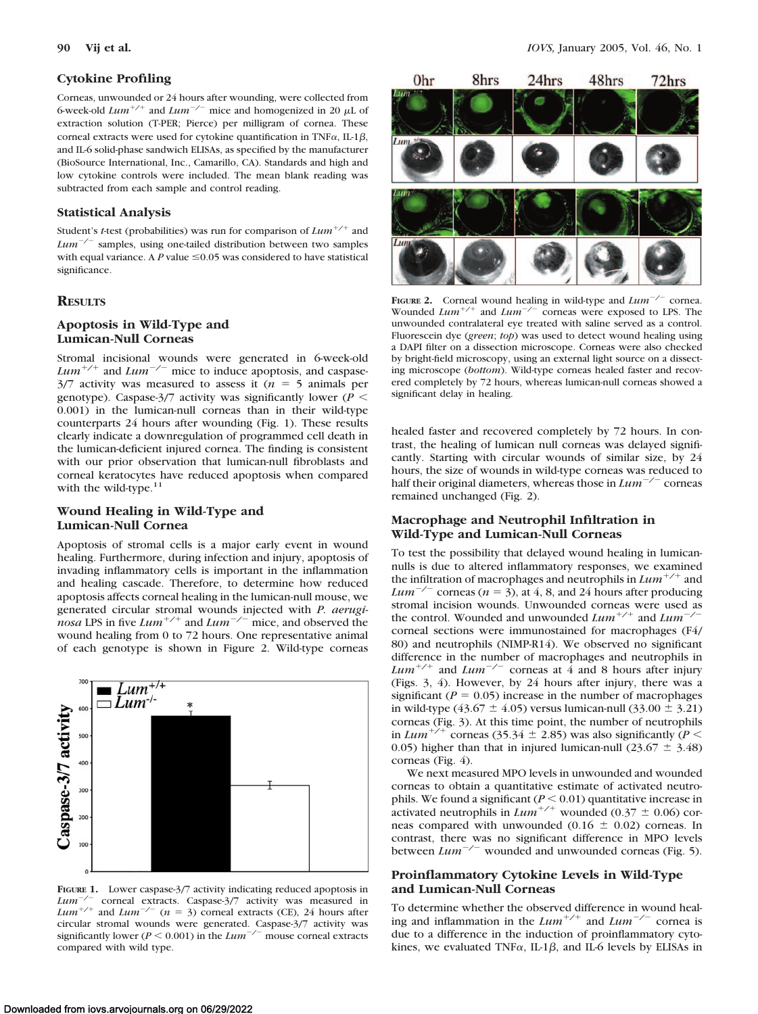## **Cytokine Profiling**

Corneas, unwounded or 24 hours after wounding, were collected from 6-week-old  $Lum^{+/+}$  and  $Lum^{-/-}$  mice and homogenized in 20  $\mu$ L of extraction solution (T-PER; Pierce) per milligram of cornea. These corneal extracts were used for cytokine quantification in TNF $\alpha$ , IL-1 $\beta$ , and IL-6 solid-phase sandwich ELISAs, as specified by the manufacturer (BioSource International, Inc., Camarillo, CA). Standards and high and low cytokine controls were included. The mean blank reading was subtracted from each sample and control reading.

## **Statistical Analysis**

Student's *t*-test (probabilities) was run for comparison of  $Lum^{+/+}$  and  $Lum^{-/-}$  samples, using one-tailed distribution between two samples with equal variance. A  $P$  value  $\leq 0.05$  was considered to have statistical significance.

## **RESULTS**

# **Apoptosis in Wild-Type and Lumican-Null Corneas**

Stromal incisional wounds were generated in 6-week-old *Lum<sup>+/+</sup>* and *Lum<sup>-/-</sup>* mice to induce apoptosis, and caspase- $3/7$  activity was measured to assess it ( $n = 5$  animals per genotype). Caspase- $3/7$  activity was significantly lower ( $P \leq$ 0.001) in the lumican-null corneas than in their wild-type counterparts 24 hours after wounding (Fig. 1). These results clearly indicate a downregulation of programmed cell death in the lumican-deficient injured cornea. The finding is consistent with our prior observation that lumican-null fibroblasts and corneal keratocytes have reduced apoptosis when compared with the wild-type.<sup>11</sup>

## **Wound Healing in Wild-Type and Lumican-Null Cornea**

Apoptosis of stromal cells is a major early event in wound healing. Furthermore, during infection and injury, apoptosis of invading inflammatory cells is important in the inflammation and healing cascade. Therefore, to determine how reduced apoptosis affects corneal healing in the lumican-null mouse, we generated circular stromal wounds injected with *P. aeruginosa* LPS in five  $Lum^{+/+}$  and  $Lum^{-/-}$  mice, and observed the wound healing from 0 to 72 hours. One representative animal of each genotype is shown in Figure 2. Wild-type corneas



**FIGURE 1.** Lower caspase-3/7 activity indicating reduced apoptosis in *Lum/* corneal extracts. Caspase-3/7 activity was measured in *Lum*<sup>+/+</sup> and *Lum<sup>-/-</sup>* ( $n = 3$ ) corneal extracts (CE), 24 hours after circular stromal wounds were generated. Caspase-3/7 activity was significantly lower ( $P \le 0.001$ ) in the *Lum<sup>-/-</sup>* mouse corneal extracts compared with wild type.



**FIGURE 2.** Corneal wound healing in wild-type and  $Lum^{-/-}$  cornea. Wounded  $Lum^{+/+}$  and  $Lum^{-/-}$  corneas were exposed to LPS. The unwounded contralateral eye treated with saline served as a control. Fluorescein dye (*green*; *top*) was used to detect wound healing using a DAPI filter on a dissection microscope. Corneas were also checked by bright-field microscopy, using an external light source on a dissecting microscope (*bottom*). Wild-type corneas healed faster and recovered completely by 72 hours, whereas lumican-null corneas showed a significant delay in healing.

healed faster and recovered completely by 72 hours. In contrast, the healing of lumican null corneas was delayed significantly. Starting with circular wounds of similar size, by 24 hours, the size of wounds in wild-type corneas was reduced to half their original diameters, whereas those in  $Lum^{-/-}$  corneas remained unchanged (Fig. 2).

## **Macrophage and Neutrophil Infiltration in Wild-Type and Lumican-Null Corneas**

To test the possibility that delayed wound healing in lumicannulls is due to altered inflammatory responses, we examined the infiltration of macrophages and neutrophils in  $Lum^{+/-}$  and *Lum<sup>-/-</sup>* corneas ( $n = 3$ ), at 4, 8, and 24 hours after producing stromal incision wounds. Unwounded corneas were used as the control. Wounded and unwounded  $Lum^{+/+}$  and  $Lum^{-/-}$ corneal sections were immunostained for macrophages (F4/ 80) and neutrophils (NIMP-R14). We observed no significant difference in the number of macrophages and neutrophils in *Lum*<sup>+/+</sup> and *Lum<sup>-/-</sup>* corneas at 4 and 8 hours after injury (Figs. 3, 4). However, by 24 hours after injury, there was a significant ( $P = 0.05$ ) increase in the number of macrophages in wild-type (43.67  $\pm$  4.05) versus lumican-null (33.00  $\pm$  3.21) corneas (Fig. 3). At this time point, the number of neutrophils in *Lum*<sup>+/+</sup> corneas (35.34  $\pm$  2.85) was also significantly (*P* < 0.05) higher than that in injured lumican-null (23.67  $\pm$  3.48) corneas (Fig. 4).

We next measured MPO levels in unwounded and wounded corneas to obtain a quantitative estimate of activated neutrophils. We found a significant  $(P \leq 0.01)$  quantitative increase in activated neutrophils in  $Lum^{+/-}$  wounded (0.37  $\pm$  0.06) corneas compared with unwounded (0.16  $\pm$  0.02) corneas. In contrast, there was no significant difference in MPO levels between *Lum<sup>-/-</sup>* wounded and unwounded corneas (Fig. 5).

## **Proinflammatory Cytokine Levels in Wild-Type and Lumican-Null Corneas**

To determine whether the observed difference in wound healing and inflammation in the  $Lum^{+/+}$  and  $Lum^{-/-}$  cornea is due to a difference in the induction of proinflammatory cytokines, we evaluated TNF $\alpha$ , IL-1 $\beta$ , and IL-6 levels by ELISAs in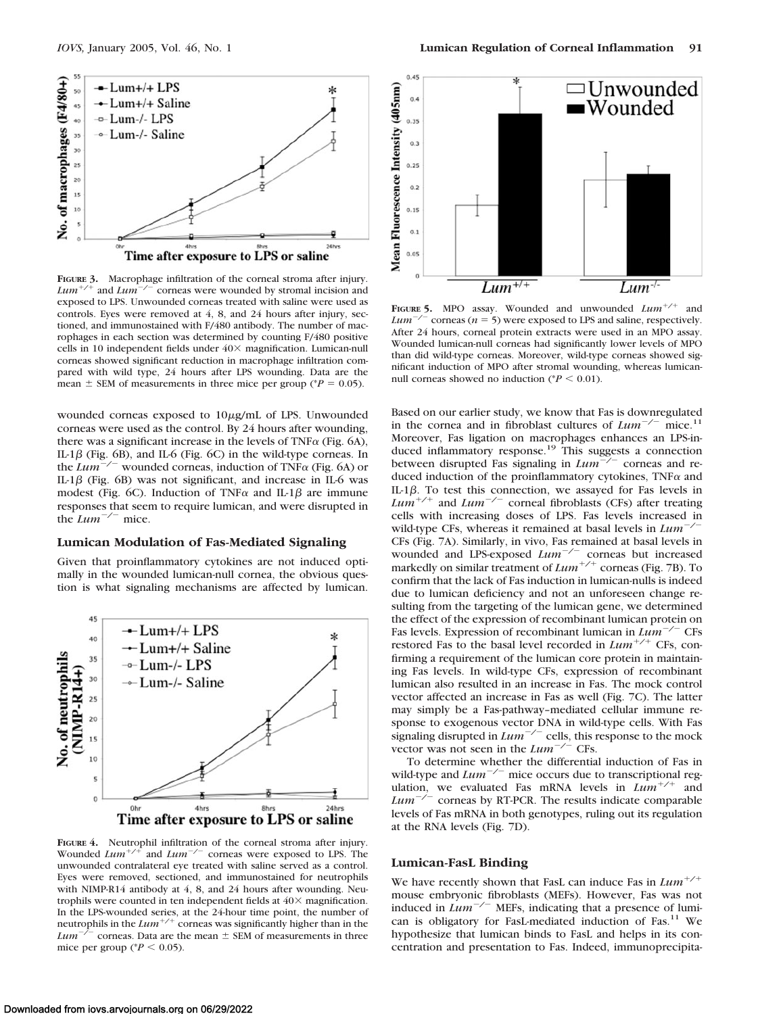

**FIGURE 3.** Macrophage infiltration of the corneal stroma after injury.  $Lum^{+/+}$  and  $Lum^{-/-}$  corneas were wounded by stromal incision and exposed to LPS. Unwounded corneas treated with saline were used as controls. Eyes were removed at 4, 8, and 24 hours after injury, sectioned, and immunostained with F/480 antibody. The number of macrophages in each section was determined by counting F/480 positive cells in 10 independent fields under  $40\times$  magnification. Lumican-null corneas showed significant reduction in macrophage infiltration compared with wild type, 24 hours after LPS wounding. Data are the mean  $\pm$  SEM of measurements in three mice per group (\* $P = 0.05$ ).

wounded corneas exposed to  $10\mu$ g/mL of LPS. Unwounded corneas were used as the control. By 24 hours after wounding, there was a significant increase in the levels of TNF $\alpha$  (Fig. 6A), IL- $1\beta$  (Fig. 6B), and IL-6 (Fig. 6C) in the wild-type corneas. In the  $Lum^{-/-}$  wounded corneas, induction of TNF $\alpha$  (Fig. 6A) or IL-1 $\beta$  (Fig. 6B) was not significant, and increase in IL-6 was modest (Fig. 6C). Induction of TNF $\alpha$  and IL-1 $\beta$  are immune responses that seem to require lumican, and were disrupted in the  $Lum^{-/-}$  mice.

#### **Lumican Modulation of Fas-Mediated Signaling**

Given that proinflammatory cytokines are not induced optimally in the wounded lumican-null cornea, the obvious question is what signaling mechanisms are affected by lumican.



**FIGURE 4.** Neutrophil infiltration of the corneal stroma after injury. Wounded  $Lum^{+/+}$  and  $Lum^{-/-}$  corneas were exposed to LPS. The unwounded contralateral eye treated with saline served as a control. Eyes were removed, sectioned, and immunostained for neutrophils with NIMP-R14 antibody at 4, 8, and 24 hours after wounding. Neutrophils were counted in ten independent fields at  $40\times$  magnification. In the LPS-wounded series, at the 24-hour time point, the number of neutrophils in the *Lum*<sup>+/+</sup> corneas was significantly higher than in the  $Lum^{-7}$  corneas. Data are the mean  $\pm$  SEM of measurements in three mice per group ( $P < 0.05$ ).



FIGURE 5. MPO assay. Wounded and unwounded  $Lum^{+/+}$  and *Lum<sup>-/-</sup>* corneas ( $n = 5$ ) were exposed to LPS and saline, respectively. After 24 hours, corneal protein extracts were used in an MPO assay. Wounded lumican-null corneas had significantly lower levels of MPO than did wild-type corneas. Moreover, wild-type corneas showed significant induction of MPO after stromal wounding, whereas lumicannull corneas showed no induction  $(^{\ast}P \leq 0.01)$ .

Based on our earlier study, we know that Fas is downregulated in the cornea and in fibroblast cultures of  $Lum^{-/-}$  mice.<sup>11</sup> Moreover, Fas ligation on macrophages enhances an LPS-induced inflammatory response.<sup>19</sup> This suggests a connection between disrupted Fas signaling in  $Lum^{-/-}$  corneas and reduced induction of the proinflammatory cytokines,  $TNF\alpha$  and IL-1 $\beta$ . To test this connection, we assayed for Fas levels in  $Lum^{+/-}$  and  $Lum^{-/-}$  corneal fibroblasts (CFs) after treating cells with increasing doses of LPS. Fas levels increased in wild-type CFs, whereas it remained at basal levels in  $Lum^-$ CFs (Fig. 7A). Similarly, in vivo, Fas remained at basal levels in wounded and LPS-exposed  $Lum^{-/-}$  corneas but increased markedly on similar treatment of  $Lum^{+/+}$  corneas (Fig. 7B). To confirm that the lack of Fas induction in lumican-nulls is indeed due to lumican deficiency and not an unforeseen change resulting from the targeting of the lumican gene, we determined the effect of the expression of recombinant lumican protein on Fas levels. Expression of recombinant lumican in  $Lum^{-/-}$  CFs restored Fas to the basal level recorded in  $Lum^{+/+}$  CFs, confirming a requirement of the lumican core protein in maintaining Fas levels. In wild-type CFs, expression of recombinant lumican also resulted in an increase in Fas. The mock control vector affected an increase in Fas as well (Fig. 7C). The latter may simply be a Fas-pathway–mediated cellular immune response to exogenous vector DNA in wild-type cells. With Fas signaling disrupted in  $Lum^{-/-}$  cells, this response to the mock vector was not seen in the  $Lum^{-/-}$  CFs.

To determine whether the differential induction of Fas in wild-type and  $Lum^{-/-}$  mice occurs due to transcriptional regulation, we evaluated Fas mRNA levels in  $Lum^{+/-}$  and *Lum/* corneas by RT-PCR. The results indicate comparable levels of Fas mRNA in both genotypes, ruling out its regulation at the RNA levels (Fig. 7D).

#### **Lumican-FasL Binding**

We have recently shown that FasL can induce Fas in  $Lum^{+/+}$ mouse embryonic fibroblasts (MEFs). However, Fas was not induced in *Lum<sup>-/-</sup>* MEFs, indicating that a presence of lumican is obligatory for FasL-mediated induction of Fas.<sup>11</sup> We hypothesize that lumican binds to FasL and helps in its concentration and presentation to Fas. Indeed, immunoprecipita-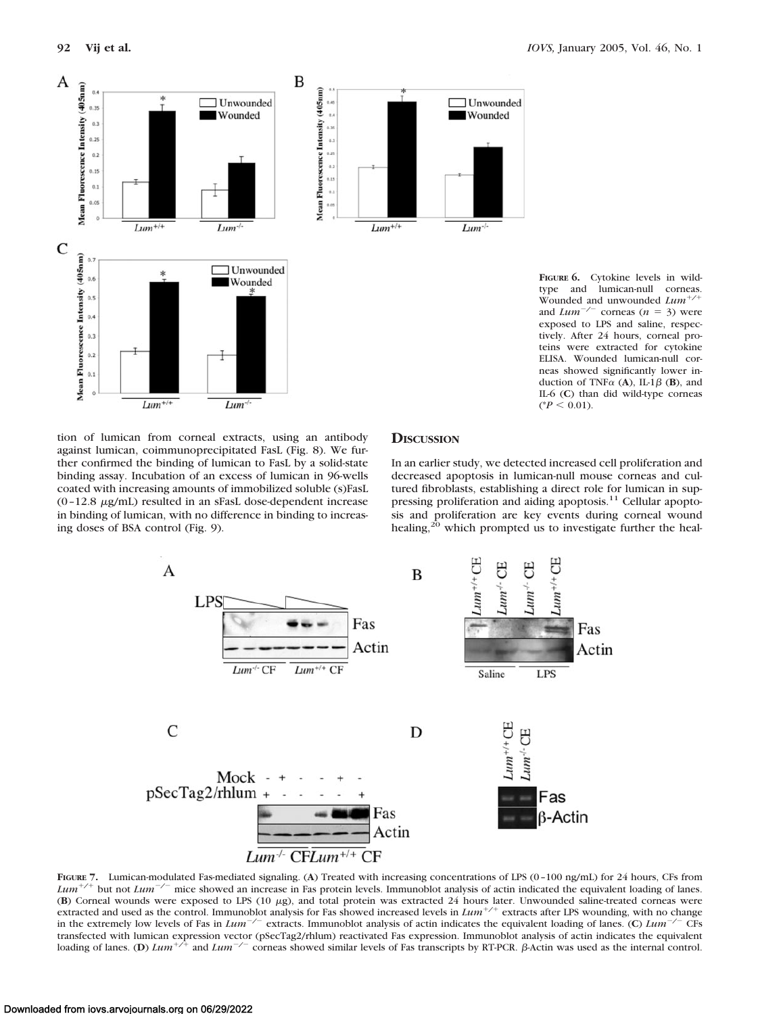

**FIGURE 6.** Cytokine levels in wildtype and lumican-null corneas. Wounded and unwounded *Lum*-*/* and  $Lum^{-/-}$  corneas ( $n = 3$ ) were exposed to LPS and saline, respectively. After 24 hours, corneal proteins were extracted for cytokine ELISA. Wounded lumican-null corneas showed significantly lower induction of TNF $\alpha$  (A), IL-1 $\beta$  (B), and IL-6 (**C**) than did wild-type corneas  $(^{\ast}P < 0.01)$ .

tion of lumican from corneal extracts, using an antibody against lumican, coimmunoprecipitated FasL (Fig. 8). We further confirmed the binding of lumican to FasL by a solid-state binding assay. Incubation of an excess of lumican in 96-wells coated with increasing amounts of immobilized soluble (s)FasL  $(0-12.8 \mu g/mL)$  resulted in an sFasL dose-dependent increase in binding of lumican, with no difference in binding to increasing doses of BSA control (Fig. 9).

# **DISCUSSION**

Wounded

Lum<sup>-</sup>

In an earlier study, we detected increased cell proliferation and decreased apoptosis in lumican-null mouse corneas and cultured fibroblasts, establishing a direct role for lumican in suppressing proliferation and aiding apoptosis.<sup>11</sup> Cellular apoptosis and proliferation are key events during corneal wound healing,<sup>20</sup> which prompted us to investigate further the heal-



**FIGURE 7.** Lumican-modulated Fas-mediated signaling. (**A**) Treated with increasing concentrations of LPS (0 –100 ng/mL) for 24 hours, CFs from  $Lum^{+/+}$  but not  $Lum^{-/-}$  mice showed an increase in Fas protein levels. Immunoblot analysis of actin indicated the equivalent loading of lanes. (B) Corneal wounds were exposed to LPS (10  $\mu$ g), and total protein was extracted 24 hours later. Unwounded saline-treated corneas were extracted and used as the control. Immunoblot analysis for Fas showed increased leve in the extremely low levels of Fas in  $Lum^{-/-}$  extracts. Immunoblot analysis of actin indicates the equivalent loading of lanes. (C)  $Lum^{-/-}$  CFs transfected with lumican expression vector (pSecTag2/rhlum) reactivated Fas expression. Immunoblot analysis of actin indicates the equivalent loading of lanes. (D)  $Lum^{+/-}$  and  $Lum^{-/-}$  corneas showed similar levels of Fas transcripts by RT-PCR.  $\beta$ -Actin was used as the internal control.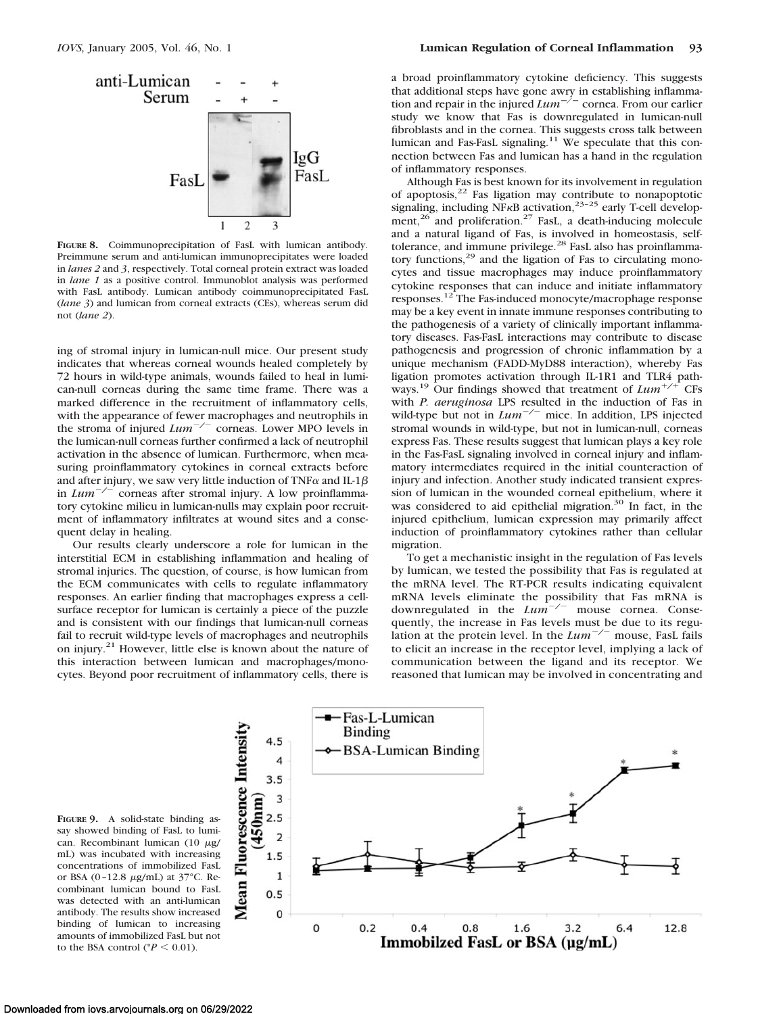

**FIGURE 8.** Coimmunoprecipitation of FasL with lumican antibody. Preimmune serum and anti-lumican immunoprecipitates were loaded in *lanes 2* and *3*, respectively. Total corneal protein extract was loaded in *lane 1* as a positive control. Immunoblot analysis was performed with FasL antibody. Lumican antibody coimmunoprecipitated FasL (*lane 3*) and lumican from corneal extracts (CEs), whereas serum did not (*lane 2*).

ing of stromal injury in lumican-null mice. Our present study indicates that whereas corneal wounds healed completely by 72 hours in wild-type animals, wounds failed to heal in lumican-null corneas during the same time frame. There was a marked difference in the recruitment of inflammatory cells, with the appearance of fewer macrophages and neutrophils in the stroma of injured  $Lum^{-/-}$  corneas. Lower MPO levels in the lumican-null corneas further confirmed a lack of neutrophil activation in the absence of lumican. Furthermore, when measuring proinflammatory cytokines in corneal extracts before and after injury, we saw very little induction of TNF $\alpha$  and IL-1 $\beta$ in  $Lum^{-/-}$  corneas after stromal injury. A low proinflammatory cytokine milieu in lumican-nulls may explain poor recruitment of inflammatory infiltrates at wound sites and a consequent delay in healing.

Our results clearly underscore a role for lumican in the interstitial ECM in establishing inflammation and healing of stromal injuries. The question, of course, is how lumican from the ECM communicates with cells to regulate inflammatory responses. An earlier finding that macrophages express a cellsurface receptor for lumican is certainly a piece of the puzzle and is consistent with our findings that lumican-null corneas fail to recruit wild-type levels of macrophages and neutrophils on injury.21 However, little else is known about the nature of this interaction between lumican and macrophages/monocytes. Beyond poor recruitment of inflammatory cells, there is a broad proinflammatory cytokine deficiency. This suggests that additional steps have gone awry in establishing inflammation and repair in the injured *Lum<sup>-/-</sup>* cornea. From our earlier study we know that Fas is downregulated in lumican-null fibroblasts and in the cornea. This suggests cross talk between lumican and Fas-FasL signaling.<sup>11</sup> We speculate that this connection between Fas and lumican has a hand in the regulation of inflammatory responses.

Although Fas is best known for its involvement in regulation of apoptosis,<sup>22</sup> Fas ligation may contribute to nonapoptotic signaling, including NF $\kappa$ B activation,<sup>23-25</sup> early T-cell development,<sup>26</sup> and proliferation.<sup>27</sup> FasL, a death-inducing molecule and a natural ligand of Fas, is involved in homeostasis, selftolerance, and immune privilege.<sup>28</sup> FasL also has proinflammatory functions,<sup>29</sup> and the ligation of Fas to circulating monocytes and tissue macrophages may induce proinflammatory cytokine responses that can induce and initiate inflammatory responses.12 The Fas-induced monocyte/macrophage response may be a key event in innate immune responses contributing to the pathogenesis of a variety of clinically important inflammatory diseases. Fas-FasL interactions may contribute to disease pathogenesis and progression of chronic inflammation by a unique mechanism (FADD-MyD88 interaction), whereby Fas ligation promotes activation through IL-1R1 and TLR4 pathways.<sup>19</sup> Our findings showed that treatment of  $Lum^{+/-}$  CFs with *P. aeruginosa* LPS resulted in the induction of Fas in wild-type but not in  $Lum^{-/-}$  mice. In addition, LPS injected stromal wounds in wild-type, but not in lumican-null, corneas express Fas. These results suggest that lumican plays a key role in the Fas-FasL signaling involved in corneal injury and inflammatory intermediates required in the initial counteraction of injury and infection. Another study indicated transient expression of lumican in the wounded corneal epithelium, where it was considered to aid epithelial migration.<sup>30</sup> In fact, in the injured epithelium, lumican expression may primarily affect induction of proinflammatory cytokines rather than cellular migration.

To get a mechanistic insight in the regulation of Fas levels by lumican, we tested the possibility that Fas is regulated at the mRNA level. The RT-PCR results indicating equivalent mRNA levels eliminate the possibility that Fas mRNA is downregulated in the *Lum<sup>-/-</sup>* mouse cornea. Consequently, the increase in Fas levels must be due to its regulation at the protein level. In the  $Lum^{-/-}$  mouse, FasL fails to elicit an increase in the receptor level, implying a lack of communication between the ligand and its receptor. We reasoned that lumican may be involved in concentrating and

**FIGURE 9.** A solid-state binding assay showed binding of FasL to lumican. Recombinant lumican (10  $\mu$ g/ mL) was incubated with increasing concentrations of immobilized FasL or BSA (0-12.8  $\mu$ g/mL) at 37°C. Recombinant lumican bound to FasL was detected with an anti-lumican antibody. The results show increased binding of lumican to increasing amounts of immobilized FasL but not to the BSA control ( $P < 0.01$ ).

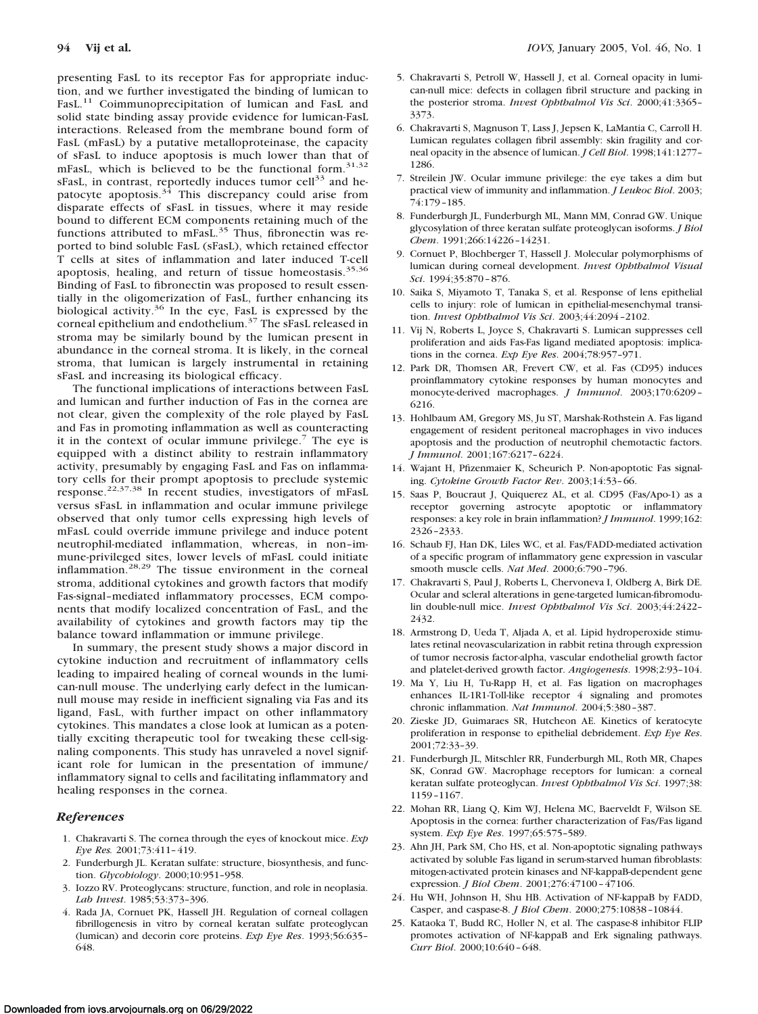presenting FasL to its receptor Fas for appropriate induction, and we further investigated the binding of lumican to FasL.<sup>11</sup> Coimmunoprecipitation of lumican and FasL and solid state binding assay provide evidence for lumican-FasL interactions. Released from the membrane bound form of FasL (mFasL) by a putative metalloproteinase, the capacity of sFasL to induce apoptosis is much lower than that of mFasL, which is believed to be the functional form.<sup>31,32</sup> sFasL, in contrast, reportedly induces tumor cell<sup>33</sup> and hepatocyte apoptosis. $3\frac{3}{4}$  This discrepancy could arise from disparate effects of sFasL in tissues, where it may reside bound to different ECM components retaining much of the functions attributed to mFasL. $35$  Thus, fibronectin was reported to bind soluble FasL (sFasL), which retained effector T cells at sites of inflammation and later induced T-cell apoptosis, healing, and return of tissue homeostasis.<sup>35,36</sup> Binding of FasL to fibronectin was proposed to result essentially in the oligomerization of FasL, further enhancing its biological activity.<sup>36</sup> In the eye, FasL is expressed by the corneal epithelium and endothelium.<sup>37</sup> The sFasL released in stroma may be similarly bound by the lumican present in abundance in the corneal stroma. It is likely, in the corneal stroma, that lumican is largely instrumental in retaining sFasL and increasing its biological efficacy.

The functional implications of interactions between FasL and lumican and further induction of Fas in the cornea are not clear, given the complexity of the role played by FasL and Fas in promoting inflammation as well as counteracting it in the context of ocular immune privilege.<sup>7</sup> The eye is equipped with a distinct ability to restrain inflammatory activity, presumably by engaging FasL and Fas on inflammatory cells for their prompt apoptosis to preclude systemic response.22,37,38 In recent studies, investigators of mFasL versus sFasL in inflammation and ocular immune privilege observed that only tumor cells expressing high levels of mFasL could override immune privilege and induce potent neutrophil-mediated inflammation, whereas, in non–immune-privileged sites, lower levels of mFasL could initiate inflammation.28,29 The tissue environment in the corneal stroma, additional cytokines and growth factors that modify Fas-signal–mediated inflammatory processes, ECM components that modify localized concentration of FasL, and the availability of cytokines and growth factors may tip the balance toward inflammation or immune privilege.

In summary, the present study shows a major discord in cytokine induction and recruitment of inflammatory cells leading to impaired healing of corneal wounds in the lumican-null mouse. The underlying early defect in the lumicannull mouse may reside in inefficient signaling via Fas and its ligand, FasL, with further impact on other inflammatory cytokines. This mandates a close look at lumican as a potentially exciting therapeutic tool for tweaking these cell-signaling components. This study has unraveled a novel significant role for lumican in the presentation of immune/ inflammatory signal to cells and facilitating inflammatory and healing responses in the cornea.

#### *References*

- 1. Chakravarti S. The cornea through the eyes of knockout mice. *Exp Eye Res.* 2001;73:411– 419.
- 2. Funderburgh JL. Keratan sulfate: structure, biosynthesis, and function. *Glycobiology*. 2000;10:951–958.
- 3. Iozzo RV. Proteoglycans: structure, function, and role in neoplasia. *Lab Invest*. 1985;53:373–396.
- 4. Rada JA, Cornuet PK, Hassell JH. Regulation of corneal collagen fibrillogenesis in vitro by corneal keratan sulfate proteoglycan (lumican) and decorin core proteins. *Exp Eye Res*. 1993;56:635– 648.
- 5. Chakravarti S, Petroll W, Hassell J, et al. Corneal opacity in lumican-null mice: defects in collagen fibril structure and packing in the posterior stroma. *Invest Ophthalmol Vis Sci*. 2000;41:3365-3373.
- 6. Chakravarti S, Magnuson T, Lass J, Jepsen K, LaMantia C, Carroll H. Lumican regulates collagen fibril assembly: skin fragility and corneal opacity in the absence of lumican. *J Cell Biol*. 1998;141:1277– 1286.
- 7. Streilein JW. Ocular immune privilege: the eye takes a dim but practical view of immunity and inflammation. *J Leukoc Biol*. 2003; 74:179 –185.
- 8. Funderburgh JL, Funderburgh ML, Mann MM, Conrad GW. Unique glycosylation of three keratan sulfate proteoglycan isoforms. *J Biol Chem*. 1991;266:14226 –14231.
- 9. Cornuet P, Blochberger T, Hassell J. Molecular polymorphisms of lumican during corneal development. *Invest Ophthalmol Visual Sci*. 1994;35:870 – 876.
- 10. Saika S, Miyamoto T, Tanaka S, et al. Response of lens epithelial cells to injury: role of lumican in epithelial-mesenchymal transition. *Invest Ophthalmol Vis Sci*. 2003;44:2094 –2102.
- 11. Vij N, Roberts L, Joyce S, Chakravarti S. Lumican suppresses cell proliferation and aids Fas-Fas ligand mediated apoptosis: implications in the cornea. *Exp Eye Res*. 2004;78:957–971.
- 12. Park DR, Thomsen AR, Frevert CW, et al. Fas (CD95) induces proinflammatory cytokine responses by human monocytes and monocyte-derived macrophages. *J Immunol*. 2003;170:6209 – 6216.
- 13. Hohlbaum AM, Gregory MS, Ju ST, Marshak-Rothstein A. Fas ligand engagement of resident peritoneal macrophages in vivo induces apoptosis and the production of neutrophil chemotactic factors. *J Immunol*. 2001;167:6217– 6224.
- 14. Wajant H, Pfizenmaier K, Scheurich P. Non-apoptotic Fas signaling. *Cytokine Growth Factor Rev*. 2003;14:53– 66.
- 15. Saas P, Boucraut J, Quiquerez AL, et al. CD95 (Fas/Apo-1) as a receptor governing astrocyte apoptotic or inflammatory responses: a key role in brain inflammation? *J Immunol*. 1999;162: 2326 –2333.
- 16. Schaub FJ, Han DK, Liles WC, et al. Fas/FADD-mediated activation of a specific program of inflammatory gene expression in vascular smooth muscle cells. *Nat Med*. 2000;6:790 –796.
- 17. Chakravarti S, Paul J, Roberts L, Chervoneva I, Oldberg A, Birk DE. Ocular and scleral alterations in gene-targeted lumican-fibromodulin double-null mice. *Invest Ophthalmol Vis Sci*. 2003;44:2422– 2432.
- 18. Armstrong D, Ueda T, Aljada A, et al. Lipid hydroperoxide stimulates retinal neovascularization in rabbit retina through expression of tumor necrosis factor-alpha, vascular endothelial growth factor and platelet-derived growth factor. *Angiogenesis*. 1998;2:93–104.
- 19. Ma Y, Liu H, Tu-Rapp H, et al. Fas ligation on macrophages enhances IL-1R1-Toll-like receptor 4 signaling and promotes chronic inflammation. *Nat Immunol*. 2004;5:380 –387.
- 20. Zieske JD, Guimaraes SR, Hutcheon AE. Kinetics of keratocyte proliferation in response to epithelial debridement. *Exp Eye Res*. 2001;72:33–39.
- 21. Funderburgh JL, Mitschler RR, Funderburgh ML, Roth MR, Chapes SK, Conrad GW. Macrophage receptors for lumican: a corneal keratan sulfate proteoglycan. *Invest Ophthalmol Vis Sci*. 1997;38: 1159 –1167.
- 22. Mohan RR, Liang Q, Kim WJ, Helena MC, Baerveldt F, Wilson SE. Apoptosis in the cornea: further characterization of Fas/Fas ligand system. *Exp Eye Res*. 1997;65:575–589.
- 23. Ahn JH, Park SM, Cho HS, et al. Non-apoptotic signaling pathways activated by soluble Fas ligand in serum-starved human fibroblasts: mitogen-activated protein kinases and NF-kappaB-dependent gene expression. *J Biol Chem*. 2001;276:47100 – 47106.
- 24. Hu WH, Johnson H, Shu HB. Activation of NF-kappaB by FADD, Casper, and caspase-8. *J Biol Chem*. 2000;275:10838 –10844.
- 25. Kataoka T, Budd RC, Holler N, et al. The caspase-8 inhibitor FLIP promotes activation of NF-kappaB and Erk signaling pathways. *Curr Biol*. 2000;10:640 – 648.